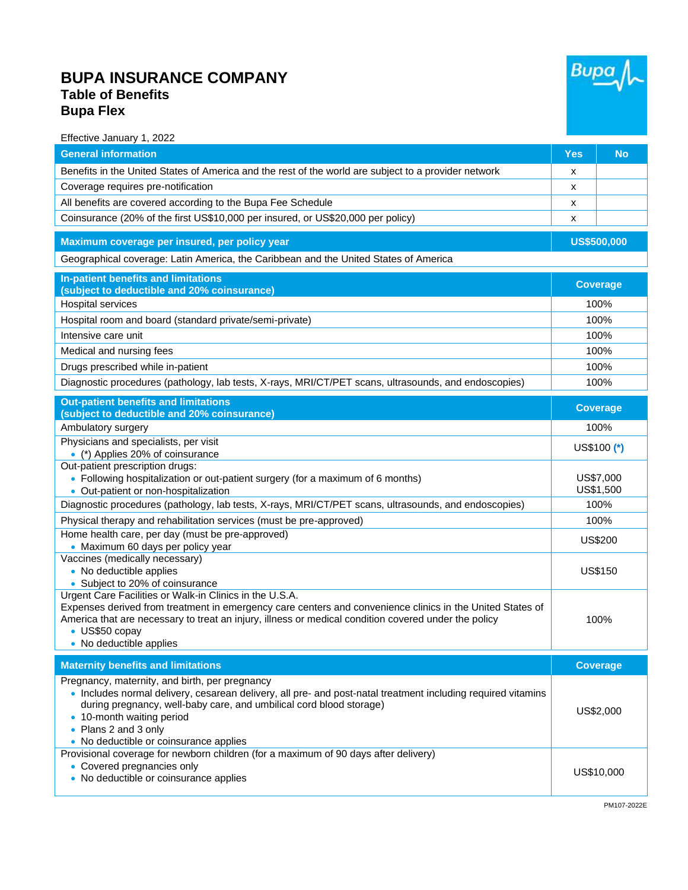## **BUPA INSURANCE COMPANY Table of Benefits Bupa Flex**



100%

| рира гіех                                                                                                                                                 |                    |                        |  |
|-----------------------------------------------------------------------------------------------------------------------------------------------------------|--------------------|------------------------|--|
| Effective January 1, 2022                                                                                                                                 |                    |                        |  |
| <b>General information</b>                                                                                                                                | <b>Yes</b>         | <b>No</b>              |  |
| Benefits in the United States of America and the rest of the world are subject to a provider network                                                      | x                  |                        |  |
| Coverage requires pre-notification                                                                                                                        | X                  |                        |  |
| All benefits are covered according to the Bupa Fee Schedule                                                                                               | x                  |                        |  |
| Coinsurance (20% of the first US\$10,000 per insured, or US\$20,000 per policy)                                                                           | х                  |                        |  |
| Maximum coverage per insured, per policy year                                                                                                             | <b>US\$500,000</b> |                        |  |
| Geographical coverage: Latin America, the Caribbean and the United States of America                                                                      |                    |                        |  |
| <b>In-patient benefits and limitations</b><br>(subject to deductible and 20% coinsurance)                                                                 |                    | <b>Coverage</b>        |  |
| Hospital services                                                                                                                                         | 100%               |                        |  |
| Hospital room and board (standard private/semi-private)                                                                                                   |                    | 100%                   |  |
| Intensive care unit                                                                                                                                       |                    | 100%                   |  |
| Medical and nursing fees                                                                                                                                  | 100%               |                        |  |
| Drugs prescribed while in-patient                                                                                                                         | 100%               |                        |  |
| Diagnostic procedures (pathology, lab tests, X-rays, MRI/CT/PET scans, ultrasounds, and endoscopies)                                                      |                    | 100%                   |  |
| <b>Out-patient benefits and limitations</b><br>(subject to deductible and 20% coinsurance)                                                                |                    | <b>Coverage</b>        |  |
| Ambulatory surgery                                                                                                                                        |                    | 100%                   |  |
| Physicians and specialists, per visit<br>• (*) Applies 20% of coinsurance                                                                                 |                    | US\$100 (*)            |  |
| Out-patient prescription drugs:<br>• Following hospitalization or out-patient surgery (for a maximum of 6 months)<br>• Out-patient or non-hospitalization |                    | US\$7,000<br>US\$1,500 |  |
| Diagnostic procedures (pathology, lab tests, X-rays, MRI/CT/PET scans, ultrasounds, and endoscopies)                                                      |                    | 100%                   |  |
| Physical therapy and rehabilitation services (must be pre-approved)                                                                                       |                    | 100%                   |  |
| Home health care, per day (must be pre-approved)<br>• Maximum 60 days per policy year                                                                     |                    | US\$200                |  |
| Vaccines (medically necessary)<br>• No deductible applies<br>• Subject to 20% of coinsurance                                                              |                    | <b>US\$150</b>         |  |
| $-4M - 0.5$ $-20$ $-22$ $-24$ $-11$ $-2$ $-1$<br>LO - LE FILLING - -                                                                                      |                    |                        |  |

Urgent Care Facilities or Walk-in Clinics in the U.S.A. Expenses derived from treatment in emergency care centers and convenience clinics in the United States of

- America that are necessary to treat an injury, illness or medical condition covered under the policy • US\$50 copay
	- No deductible applies

**Maternity benefits and limitations and compared the coverage of the coverage of the coverage of the coverage of the coverage of the coverage of the coverage of the coverage of the coverage of the coverage of the coverage** Pregnancy, maternity, and birth, per pregnancy • Includes normal delivery, cesarean delivery, all pre- and post-natal treatment including required vitamins during pregnancy, well-baby care, and umbilical cord blood storage) • 10-month waiting period • Plans 2 and 3 only • No deductible or coinsurance applies US\$2,000 Provisional coverage for newborn children (for a maximum of 90 days after delivery) • Covered pregnancies only • Covered pregnancies only and the second state of the second state of the second state of the US\$10,000 NS\$10,000 NS\$10,000 NS\$10,000 NS\$10,000 NS\$10,000 NS\$10,000 NS\$10,000 NS\$10,000 NS\$10,000 NS\$10,000 NS\$10,000 NS\$10,0